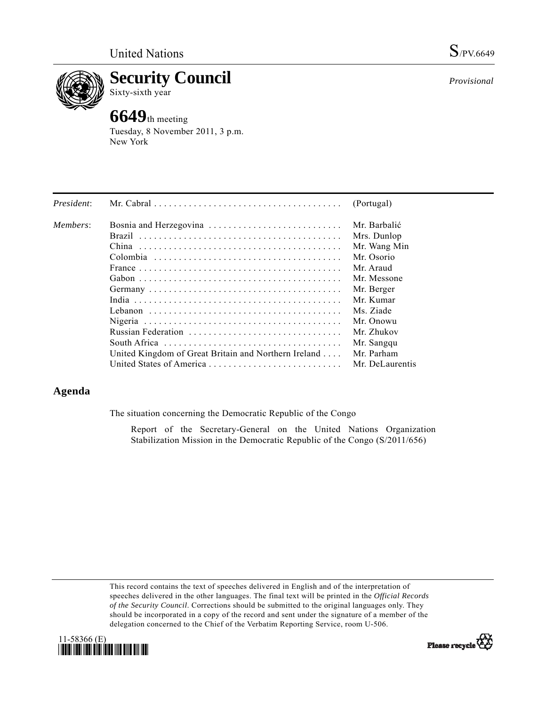

**Security Council**  Sixty-sixth year

# **6649**th meeting

Tuesday, 8 November 2011, 3 p.m. New York

| President: |                                                      | (Portugal)      |
|------------|------------------------------------------------------|-----------------|
| Members:   | Bosnia and Herzegovina                               | Mr. Barbalić    |
|            |                                                      | Mrs. Dunlop     |
|            |                                                      | Mr. Wang Min    |
|            |                                                      | Mr. Osorio      |
|            |                                                      | Mr Araud        |
|            |                                                      | Mr. Messone     |
|            |                                                      | Mr. Berger      |
|            |                                                      | Mr. Kumar       |
|            |                                                      | Ms. Ziade       |
|            |                                                      | Mr. Onowu       |
|            |                                                      | Mr. Zhukov      |
|            |                                                      | Mr. Sangqu      |
|            | United Kingdom of Great Britain and Northern Ireland | Mr. Parham      |
|            | United States of America                             | Mr. DeLaurentis |

# **Agenda**

The situation concerning the Democratic Republic of the Congo

 Report of the Secretary-General on the United Nations Organization Stabilization Mission in the Democratic Republic of the Congo (S/2011/656)

This record contains the text of speeches delivered in English and of the interpretation of speeches delivered in the other languages. The final text will be printed in the *Official Records of the Security Council*. Corrections should be submitted to the original languages only. They should be incorporated in a copy of the record and sent under the signature of a member of the delegation concerned to the Chief of the Verbatim Reporting Service, room U-506.





*Provisional*

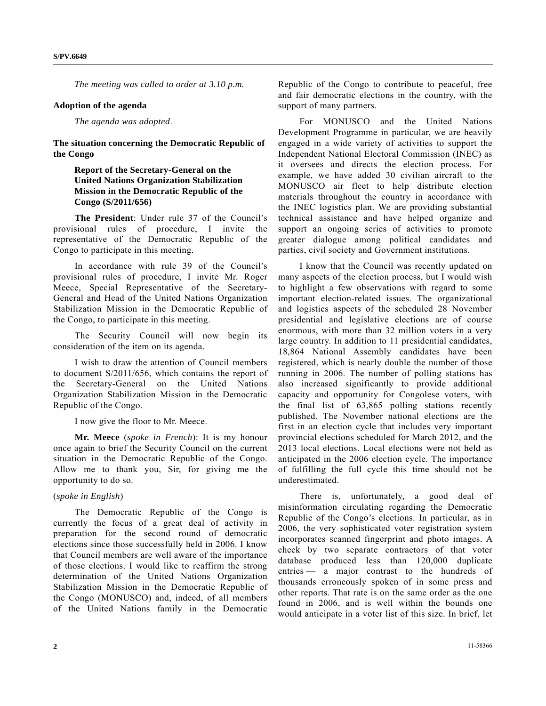*The meeting was called to order at 3.10 p.m.* 

#### **Adoption of the agenda**

*The agenda was adopted*.

**The situation concerning the Democratic Republic of the Congo** 

## **Report of the Secretary-General on the United Nations Organization Stabilization Mission in the Democratic Republic of the Congo (S/2011/656)**

**The President**: Under rule 37 of the Council's provisional rules of procedure, I invite the representative of the Democratic Republic of the Congo to participate in this meeting.

 In accordance with rule 39 of the Council's provisional rules of procedure, I invite Mr. Roger Meece, Special Representative of the Secretary-General and Head of the United Nations Organization Stabilization Mission in the Democratic Republic of the Congo, to participate in this meeting.

 The Security Council will now begin its consideration of the item on its agenda.

 I wish to draw the attention of Council members to document S/2011/656, which contains the report of the Secretary-General on the United Nations Organization Stabilization Mission in the Democratic Republic of the Congo.

I now give the floor to Mr. Meece.

**Mr. Meece** (*spoke in French*): It is my honour once again to brief the Security Council on the current situation in the Democratic Republic of the Congo. Allow me to thank you, Sir, for giving me the opportunity to do so.

### (*spoke in English*)

 The Democratic Republic of the Congo is currently the focus of a great deal of activity in preparation for the second round of democratic elections since those successfully held in 2006. I know that Council members are well aware of the importance of those elections. I would like to reaffirm the strong determination of the United Nations Organization Stabilization Mission in the Democratic Republic of the Congo (MONUSCO) and, indeed, of all members of the United Nations family in the Democratic

Republic of the Congo to contribute to peaceful, free and fair democratic elections in the country, with the support of many partners.

 For MONUSCO and the United Nations Development Programme in particular, we are heavily engaged in a wide variety of activities to support the Independent National Electoral Commission (INEC) as it oversees and directs the election process. For example, we have added 30 civilian aircraft to the MONUSCO air fleet to help distribute election materials throughout the country in accordance with the INEC logistics plan. We are providing substantial technical assistance and have helped organize and support an ongoing series of activities to promote greater dialogue among political candidates and parties, civil society and Government institutions.

 I know that the Council was recently updated on many aspects of the election process, but I would wish to highlight a few observations with regard to some important election-related issues. The organizational and logistics aspects of the scheduled 28 November presidential and legislative elections are of course enormous, with more than 32 million voters in a very large country. In addition to 11 presidential candidates, 18,864 National Assembly candidates have been registered, which is nearly double the number of those running in 2006. The number of polling stations has also increased significantly to provide additional capacity and opportunity for Congolese voters, with the final list of 63,865 polling stations recently published. The November national elections are the first in an election cycle that includes very important provincial elections scheduled for March 2012, and the 2013 local elections. Local elections were not held as anticipated in the 2006 election cycle. The importance of fulfilling the full cycle this time should not be underestimated.

 There is, unfortunately, a good deal of misinformation circulating regarding the Democratic Republic of the Congo's elections. In particular, as in 2006, the very sophisticated voter registration system incorporates scanned fingerprint and photo images. A check by two separate contractors of that voter database produced less than 120,000 duplicate entries — a major contrast to the hundreds of thousands erroneously spoken of in some press and other reports. That rate is on the same order as the one found in 2006, and is well within the bounds one would anticipate in a voter list of this size. In brief, let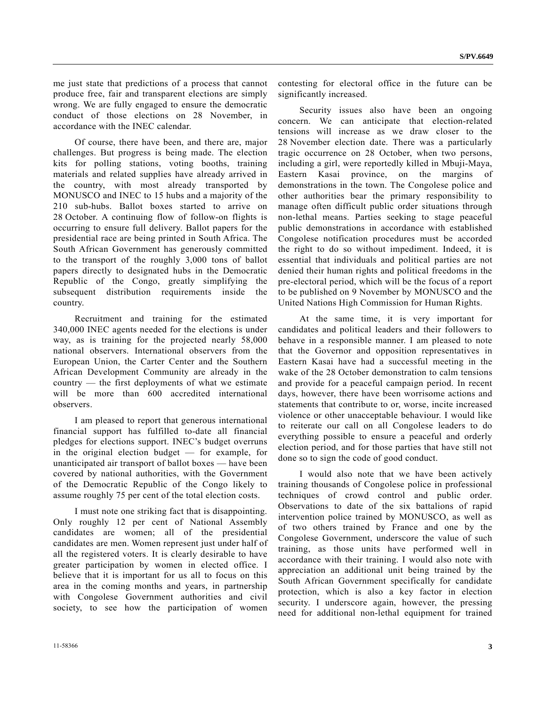me just state that predictions of a process that cannot produce free, fair and transparent elections are simply wrong. We are fully engaged to ensure the democratic conduct of those elections on 28 November, in accordance with the INEC calendar.

 Of course, there have been, and there are, major challenges. But progress is being made. The election kits for polling stations, voting booths, training materials and related supplies have already arrived in the country, with most already transported by MONUSCO and INEC to 15 hubs and a majority of the 210 sub-hubs. Ballot boxes started to arrive on 28 October. A continuing flow of follow-on flights is occurring to ensure full delivery. Ballot papers for the presidential race are being printed in South Africa. The South African Government has generously committed to the transport of the roughly 3,000 tons of ballot papers directly to designated hubs in the Democratic Republic of the Congo, greatly simplifying the subsequent distribution requirements inside the country.

 Recruitment and training for the estimated 340,000 INEC agents needed for the elections is under way, as is training for the projected nearly 58,000 national observers. International observers from the European Union, the Carter Center and the Southern African Development Community are already in the country — the first deployments of what we estimate will be more than 600 accredited international observers.

 I am pleased to report that generous international financial support has fulfilled to-date all financial pledges for elections support. INEC's budget overruns in the original election budget — for example, for unanticipated air transport of ballot boxes — have been covered by national authorities, with the Government of the Democratic Republic of the Congo likely to assume roughly 75 per cent of the total election costs.

 I must note one striking fact that is disappointing. Only roughly 12 per cent of National Assembly candidates are women; all of the presidential candidates are men. Women represent just under half of all the registered voters. It is clearly desirable to have greater participation by women in elected office. I believe that it is important for us all to focus on this area in the coming months and years, in partnership with Congolese Government authorities and civil society, to see how the participation of women

contesting for electoral office in the future can be significantly increased.

 Security issues also have been an ongoing concern. We can anticipate that election-related tensions will increase as we draw closer to the 28 November election date. There was a particularly tragic occurrence on 28 October, when two persons, including a girl, were reportedly killed in Mbuji-Maya, Eastern Kasai province, on the margins of demonstrations in the town. The Congolese police and other authorities bear the primary responsibility to manage often difficult public order situations through non-lethal means. Parties seeking to stage peaceful public demonstrations in accordance with established Congolese notification procedures must be accorded the right to do so without impediment. Indeed, it is essential that individuals and political parties are not denied their human rights and political freedoms in the pre-electoral period, which will be the focus of a report to be published on 9 November by MONUSCO and the United Nations High Commission for Human Rights.

 At the same time, it is very important for candidates and political leaders and their followers to behave in a responsible manner. I am pleased to note that the Governor and opposition representatives in Eastern Kasai have had a successful meeting in the wake of the 28 October demonstration to calm tensions and provide for a peaceful campaign period. In recent days, however, there have been worrisome actions and statements that contribute to or, worse, incite increased violence or other unacceptable behaviour. I would like to reiterate our call on all Congolese leaders to do everything possible to ensure a peaceful and orderly election period, and for those parties that have still not done so to sign the code of good conduct.

 I would also note that we have been actively training thousands of Congolese police in professional techniques of crowd control and public order. Observations to date of the six battalions of rapid intervention police trained by MONUSCO, as well as of two others trained by France and one by the Congolese Government, underscore the value of such training, as those units have performed well in accordance with their training. I would also note with appreciation an additional unit being trained by the South African Government specifically for candidate protection, which is also a key factor in election security. I underscore again, however, the pressing need for additional non-lethal equipment for trained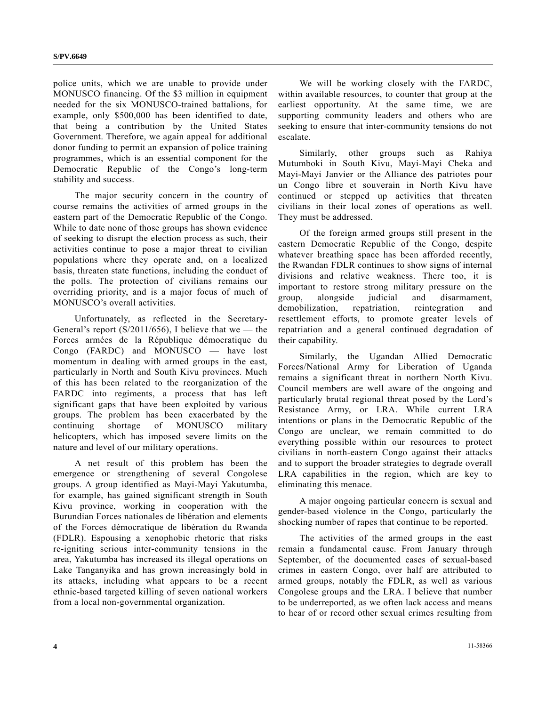police units, which we are unable to provide under MONUSCO financing. Of the \$3 million in equipment needed for the six MONUSCO-trained battalions, for example, only \$500,000 has been identified to date, that being a contribution by the United States Government. Therefore, we again appeal for additional donor funding to permit an expansion of police training programmes, which is an essential component for the Democratic Republic of the Congo's long-term stability and success.

 The major security concern in the country of course remains the activities of armed groups in the eastern part of the Democratic Republic of the Congo. While to date none of those groups has shown evidence of seeking to disrupt the election process as such, their activities continue to pose a major threat to civilian populations where they operate and, on a localized basis, threaten state functions, including the conduct of the polls. The protection of civilians remains our overriding priority, and is a major focus of much of MONUSCO's overall activities.

 Unfortunately, as reflected in the Secretary-General's report  $(S/2011/656)$ , I believe that we — the Forces armées de la République démocratique du Congo (FARDC) and MONUSCO — have lost momentum in dealing with armed groups in the east, particularly in North and South Kivu provinces. Much of this has been related to the reorganization of the FARDC into regiments, a process that has left significant gaps that have been exploited by various groups. The problem has been exacerbated by the continuing shortage of MONUSCO military helicopters, which has imposed severe limits on the nature and level of our military operations.

 A net result of this problem has been the emergence or strengthening of several Congolese groups. A group identified as Mayi-Mayi Yakutumba, for example, has gained significant strength in South Kivu province, working in cooperation with the Burundian Forces nationales de libération and elements of the Forces démocratique de libération du Rwanda (FDLR). Espousing a xenophobic rhetoric that risks re-igniting serious inter-community tensions in the area, Yakutumba has increased its illegal operations on Lake Tanganyika and has grown increasingly bold in its attacks, including what appears to be a recent ethnic-based targeted killing of seven national workers from a local non-governmental organization.

 We will be working closely with the FARDC, within available resources, to counter that group at the earliest opportunity. At the same time, we are supporting community leaders and others who are seeking to ensure that inter-community tensions do not escalate.

 Similarly, other groups such as Rahiya Mutumboki in South Kivu, Mayi-Mayi Cheka and Mayi-Mayi Janvier or the Alliance des patriotes pour un Congo libre et souverain in North Kivu have continued or stepped up activities that threaten civilians in their local zones of operations as well. They must be addressed.

 Of the foreign armed groups still present in the eastern Democratic Republic of the Congo, despite whatever breathing space has been afforded recently, the Rwandan FDLR continues to show signs of internal divisions and relative weakness. There too, it is important to restore strong military pressure on the group, alongside judicial and disarmament, demobilization, repatriation, reintegration and resettlement efforts, to promote greater levels of repatriation and a general continued degradation of their capability.

 Similarly, the Ugandan Allied Democratic Forces/National Army for Liberation of Uganda remains a significant threat in northern North Kivu. Council members are well aware of the ongoing and particularly brutal regional threat posed by the Lord's Resistance Army, or LRA. While current LRA intentions or plans in the Democratic Republic of the Congo are unclear, we remain committed to do everything possible within our resources to protect civilians in north-eastern Congo against their attacks and to support the broader strategies to degrade overall LRA capabilities in the region, which are key to eliminating this menace.

 A major ongoing particular concern is sexual and gender-based violence in the Congo, particularly the shocking number of rapes that continue to be reported.

 The activities of the armed groups in the east remain a fundamental cause. From January through September, of the documented cases of sexual-based crimes in eastern Congo, over half are attributed to armed groups, notably the FDLR, as well as various Congolese groups and the LRA. I believe that number to be underreported, as we often lack access and means to hear of or record other sexual crimes resulting from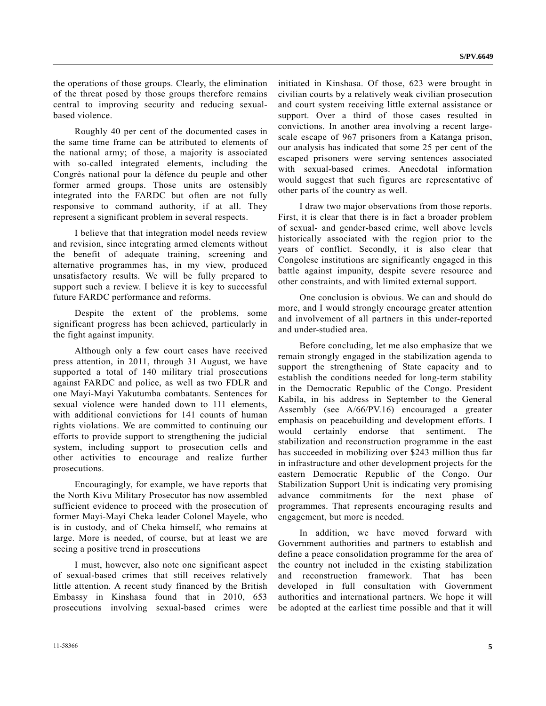the operations of those groups. Clearly, the elimination of the threat posed by those groups therefore remains central to improving security and reducing sexualbased violence.

 Roughly 40 per cent of the documented cases in the same time frame can be attributed to elements of the national army; of those, a majority is associated with so-called integrated elements, including the Congrès national pour la défence du peuple and other former armed groups. Those units are ostensibly integrated into the FARDC but often are not fully responsive to command authority, if at all. They represent a significant problem in several respects.

 I believe that that integration model needs review and revision, since integrating armed elements without the benefit of adequate training, screening and alternative programmes has, in my view, produced unsatisfactory results. We will be fully prepared to support such a review. I believe it is key to successful future FARDC performance and reforms.

 Despite the extent of the problems, some significant progress has been achieved, particularly in the fight against impunity.

 Although only a few court cases have received press attention, in 2011, through 31 August, we have supported a total of 140 military trial prosecutions against FARDC and police, as well as two FDLR and one Mayi-Mayi Yakutumba combatants. Sentences for sexual violence were handed down to 111 elements, with additional convictions for 141 counts of human rights violations. We are committed to continuing our efforts to provide support to strengthening the judicial system, including support to prosecution cells and other activities to encourage and realize further prosecutions.

 Encouragingly, for example, we have reports that the North Kivu Military Prosecutor has now assembled sufficient evidence to proceed with the prosecution of former Mayi-Mayi Cheka leader Colonel Mayele, who is in custody, and of Cheka himself, who remains at large. More is needed, of course, but at least we are seeing a positive trend in prosecutions

 I must, however, also note one significant aspect of sexual-based crimes that still receives relatively little attention. A recent study financed by the British Embassy in Kinshasa found that in 2010, 653 prosecutions involving sexual-based crimes were initiated in Kinshasa. Of those, 623 were brought in civilian courts by a relatively weak civilian prosecution and court system receiving little external assistance or support. Over a third of those cases resulted in convictions. In another area involving a recent largescale escape of 967 prisoners from a Katanga prison, our analysis has indicated that some 25 per cent of the escaped prisoners were serving sentences associated with sexual-based crimes. Anecdotal information would suggest that such figures are representative of other parts of the country as well.

 I draw two major observations from those reports. First, it is clear that there is in fact a broader problem of sexual- and gender-based crime, well above levels historically associated with the region prior to the years of conflict. Secondly, it is also clear that Congolese institutions are significantly engaged in this battle against impunity, despite severe resource and other constraints, and with limited external support.

 One conclusion is obvious. We can and should do more, and I would strongly encourage greater attention and involvement of all partners in this under-reported and under-studied area.

 Before concluding, let me also emphasize that we remain strongly engaged in the stabilization agenda to support the strengthening of State capacity and to establish the conditions needed for long-term stability in the Democratic Republic of the Congo. President Kabila, in his address in September to the General Assembly (see A/66/PV.16) encouraged a greater emphasis on peacebuilding and development efforts. I would certainly endorse that sentiment. The stabilization and reconstruction programme in the east has succeeded in mobilizing over \$243 million thus far in infrastructure and other development projects for the eastern Democratic Republic of the Congo. Our Stabilization Support Unit is indicating very promising advance commitments for the next phase of programmes. That represents encouraging results and engagement, but more is needed.

 In addition, we have moved forward with Government authorities and partners to establish and define a peace consolidation programme for the area of the country not included in the existing stabilization and reconstruction framework. That has been developed in full consultation with Government authorities and international partners. We hope it will be adopted at the earliest time possible and that it will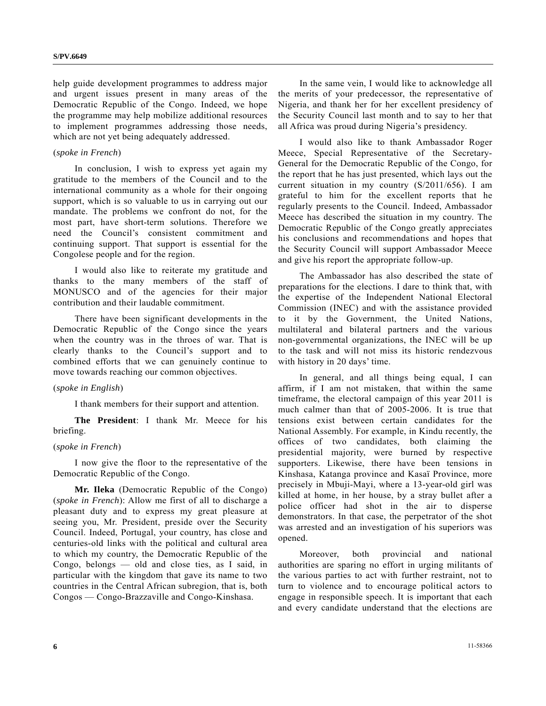help guide development programmes to address major and urgent issues present in many areas of the Democratic Republic of the Congo. Indeed, we hope the programme may help mobilize additional resources to implement programmes addressing those needs, which are not yet being adequately addressed.

#### (*spoke in French*)

 In conclusion, I wish to express yet again my gratitude to the members of the Council and to the international community as a whole for their ongoing support, which is so valuable to us in carrying out our mandate. The problems we confront do not, for the most part, have short-term solutions. Therefore we need the Council's consistent commitment and continuing support. That support is essential for the Congolese people and for the region.

 I would also like to reiterate my gratitude and thanks to the many members of the staff of MONUSCO and of the agencies for their major contribution and their laudable commitment.

 There have been significant developments in the Democratic Republic of the Congo since the years when the country was in the throes of war. That is clearly thanks to the Council's support and to combined efforts that we can genuinely continue to move towards reaching our common objectives.

#### (*spoke in English*)

I thank members for their support and attention.

**The President**: I thank Mr. Meece for his briefing.

#### (*spoke in French*)

 I now give the floor to the representative of the Democratic Republic of the Congo.

**Mr. Ileka** (Democratic Republic of the Congo) (*spoke in French*): Allow me first of all to discharge a pleasant duty and to express my great pleasure at seeing you, Mr. President, preside over the Security Council. Indeed, Portugal, your country, has close and centuries-old links with the political and cultural area to which my country, the Democratic Republic of the Congo, belongs — old and close ties, as I said, in particular with the kingdom that gave its name to two countries in the Central African subregion, that is, both Congos — Congo-Brazzaville and Congo-Kinshasa.

 In the same vein, I would like to acknowledge all the merits of your predecessor, the representative of Nigeria, and thank her for her excellent presidency of the Security Council last month and to say to her that all Africa was proud during Nigeria's presidency.

 I would also like to thank Ambassador Roger Meece, Special Representative of the Secretary-General for the Democratic Republic of the Congo, for the report that he has just presented, which lays out the current situation in my country (S/2011/656). I am grateful to him for the excellent reports that he regularly presents to the Council. Indeed, Ambassador Meece has described the situation in my country. The Democratic Republic of the Congo greatly appreciates his conclusions and recommendations and hopes that the Security Council will support Ambassador Meece and give his report the appropriate follow-up.

 The Ambassador has also described the state of preparations for the elections. I dare to think that, with the expertise of the Independent National Electoral Commission (INEC) and with the assistance provided to it by the Government, the United Nations, multilateral and bilateral partners and the various non-governmental organizations, the INEC will be up to the task and will not miss its historic rendezvous with history in 20 days' time.

 In general, and all things being equal, I can affirm, if I am not mistaken, that within the same timeframe, the electoral campaign of this year 2011 is much calmer than that of 2005-2006. It is true that tensions exist between certain candidates for the National Assembly. For example, in Kindu recently, the offices of two candidates, both claiming the presidential majority, were burned by respective supporters. Likewise, there have been tensions in Kinshasa, Katanga province and Kasaï Province, more precisely in Mbuji-Mayi, where a 13-year-old girl was killed at home, in her house, by a stray bullet after a police officer had shot in the air to disperse demonstrators. In that case, the perpetrator of the shot was arrested and an investigation of his superiors was opened.

 Moreover, both provincial and national authorities are sparing no effort in urging militants of the various parties to act with further restraint, not to turn to violence and to encourage political actors to engage in responsible speech. It is important that each and every candidate understand that the elections are